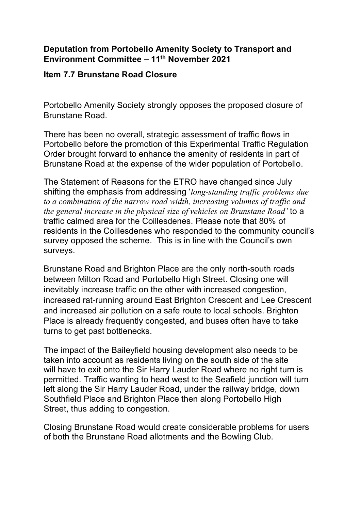## **Deputation from Portobello Amenity Society to Transport and Environment Committee – 11th November 2021**

## **Item 7.7 Brunstane Road Closure**

Portobello Amenity Society strongly opposes the proposed closure of Brunstane Road.

There has been no overall, strategic assessment of traffic flows in Portobello before the promotion of this Experimental Traffic Regulation Order brought forward to enhance the amenity of residents in part of Brunstane Road at the expense of the wider population of Portobello.

The Statement of Reasons for the ETRO have changed since July shifting the emphasis from addressing '*long-standing traffic problems due to a combination of the narrow road width, increasing volumes of traffic and the general increase in the physical size of vehicles on Brunstane Road'* to a traffic calmed area for the Coillesdenes. Please note that 80% of residents in the Coillesdenes who responded to the community council's survey opposed the scheme. This is in line with the Council's own surveys.

Brunstane Road and Brighton Place are the only north-south roads between Milton Road and Portobello High Street. Closing one will inevitably increase traffic on the other with increased congestion, increased rat-running around East Brighton Crescent and Lee Crescent and increased air pollution on a safe route to local schools. Brighton Place is already frequently congested, and buses often have to take turns to get past bottlenecks.

The impact of the Baileyfield housing development also needs to be taken into account as residents living on the south side of the site will have to exit onto the Sir Harry Lauder Road where no right turn is permitted. Traffic wanting to head west to the Seafield junction will turn left along the Sir Harry Lauder Road, under the railway bridge, down Southfield Place and Brighton Place then along Portobello High Street, thus adding to congestion.

Closing Brunstane Road would create considerable problems for users of both the Brunstane Road allotments and the Bowling Club.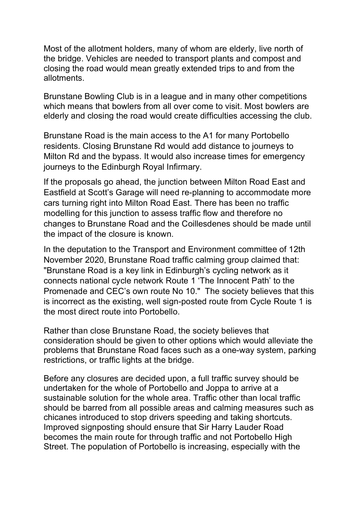Most of the allotment holders, many of whom are elderly, live north of the bridge. Vehicles are needed to transport plants and compost and closing the road would mean greatly extended trips to and from the allotments.

Brunstane Bowling Club is in a league and in many other competitions which means that bowlers from all over come to visit. Most bowlers are elderly and closing the road would create difficulties accessing the club.

Brunstane Road is the main access to the A1 for many Portobello residents. Closing Brunstane Rd would add distance to journeys to Milton Rd and the bypass. It would also increase times for emergency journeys to the Edinburgh Royal Infirmary.

If the proposals go ahead, the junction between Milton Road East and Eastfield at Scott's Garage will need re-planning to accommodate more cars turning right into Milton Road East. There has been no traffic modelling for this junction to assess traffic flow and therefore no changes to Brunstane Road and the Coillesdenes should be made until the impact of the closure is known.

In the deputation to the Transport and Environment committee of 12th November 2020, Brunstane Road traffic calming group claimed that: "Brunstane Road is a key link in Edinburgh's cycling network as it connects national cycle network Route 1 'The Innocent Path' to the Promenade and CEC's own route No 10." The society believes that this is incorrect as the existing, well sign-posted route from Cycle Route 1 is the most direct route into Portobello.

Rather than close Brunstane Road, the society believes that consideration should be given to other options which would alleviate the problems that Brunstane Road faces such as a one-way system, parking restrictions, or traffic lights at the bridge.

Before any closures are decided upon, a full traffic survey should be undertaken for the whole of Portobello and Joppa to arrive at a sustainable solution for the whole area. Traffic other than local traffic should be barred from all possible areas and calming measures such as chicanes introduced to stop drivers speeding and taking shortcuts. Improved signposting should ensure that Sir Harry Lauder Road becomes the main route for through traffic and not Portobello High Street. The population of Portobello is increasing, especially with the